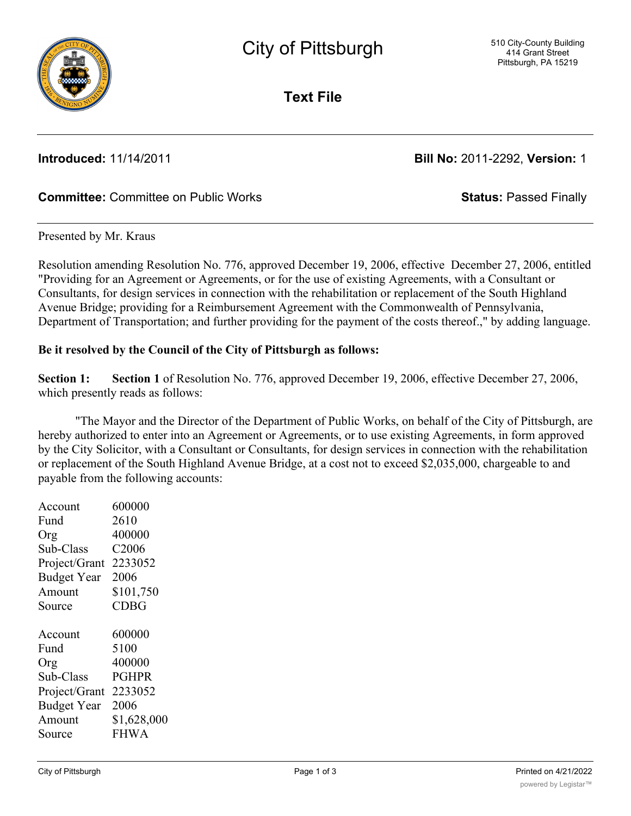

**Text File**

**Introduced:** 11/14/2011 **Bill No:** 2011-2292, **Version:** 1

# **Committee:** Committee on Public Works **Status:** Passed Finally

### Presented by Mr. Kraus

Resolution amending Resolution No. 776, approved December 19, 2006, effective December 27, 2006, entitled "Providing for an Agreement or Agreements, or for the use of existing Agreements, with a Consultant or Consultants, for design services in connection with the rehabilitation or replacement of the South Highland Avenue Bridge; providing for a Reimbursement Agreement with the Commonwealth of Pennsylvania, Department of Transportation; and further providing for the payment of the costs thereof.," by adding language.

## **Be it resolved by the Council of the City of Pittsburgh as follows:**

**Section 1: Section 1** of Resolution No. 776, approved December 19, 2006, effective December 27, 2006, which presently reads as follows:

"The Mayor and the Director of the Department of Public Works, on behalf of the City of Pittsburgh, are hereby authorized to enter into an Agreement or Agreements, or to use existing Agreements, in form approved by the City Solicitor, with a Consultant or Consultants, for design services in connection with the rehabilitation or replacement of the South Highland Avenue Bridge, at a cost not to exceed \$2,035,000, chargeable to and payable from the following accounts:

| Account            | 600000            |
|--------------------|-------------------|
| Fund               | 2610              |
| Org                | 400000            |
| Sub-Class          | C <sub>2006</sub> |
| Project/Grant      | 2233052           |
| <b>Budget Year</b> | 2006              |
| Amount             | \$101,750         |
| Source             | <b>CDBG</b>       |
|                    |                   |
| Account            | 600000            |
| Fund               | 5100              |
|                    |                   |
| Org                | 400000            |
| Sub-Class          | <b>PGHPR</b>      |
| Project/Grant      | 2233052           |
| <b>Budget Year</b> | 2006              |
| Amount             | \$1,628,000       |
| Source             | <b>FHWA</b>       |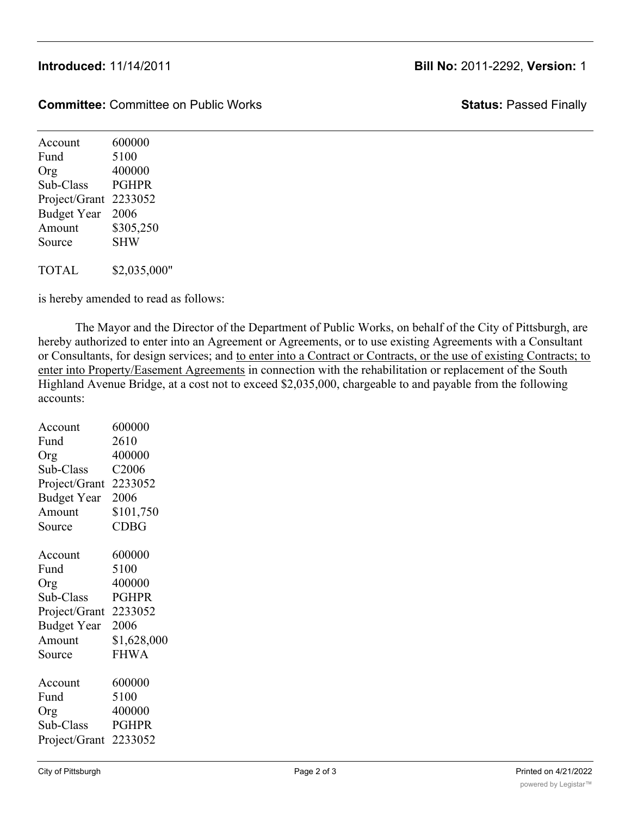**Committee:** Committee on Public Works **Status:** Passed Finally

Account 600000 Fund 5100 Org 400000 Sub-Class PGHPR Project/Grant 2233052 Budget Year 2006 Amount \$305,250 Source SHW TOTAL \$2,035,000"

is hereby amended to read as follows:

The Mayor and the Director of the Department of Public Works, on behalf of the City of Pittsburgh, are hereby authorized to enter into an Agreement or Agreements, or to use existing Agreements with a Consultant or Consultants, for design services; and to enter into a Contract or Contracts, or the use of existing Contracts; to enter into Property/Easement Agreements in connection with the rehabilitation or replacement of the South Highland Avenue Bridge, at a cost not to exceed \$2,035,000, chargeable to and payable from the following accounts:

| Account               | 600000            |
|-----------------------|-------------------|
| Fund                  | 2610              |
| Org                   | 400000            |
| Sub-Class             | C <sub>2006</sub> |
| Project/Grant         | 2233052           |
| <b>Budget Year</b>    | 2006              |
| Amount                | \$101,750         |
| Source                | <b>CDBG</b>       |
| Account               | 600000            |
| Fund                  | 5100              |
| Org                   | 400000            |
| Sub-Class             | <b>PGHPR</b>      |
| Project/Grant         | 2233052           |
| <b>Budget Year</b>    | 2006              |
| Amount                | \$1,628,000       |
| Source                | <b>FHWA</b>       |
| Account               | 600000            |
| Fund                  | 5100              |
| Org                   | 400000            |
| Sub-Class             | <b>PGHPR</b>      |
| Project/Grant 2233052 |                   |